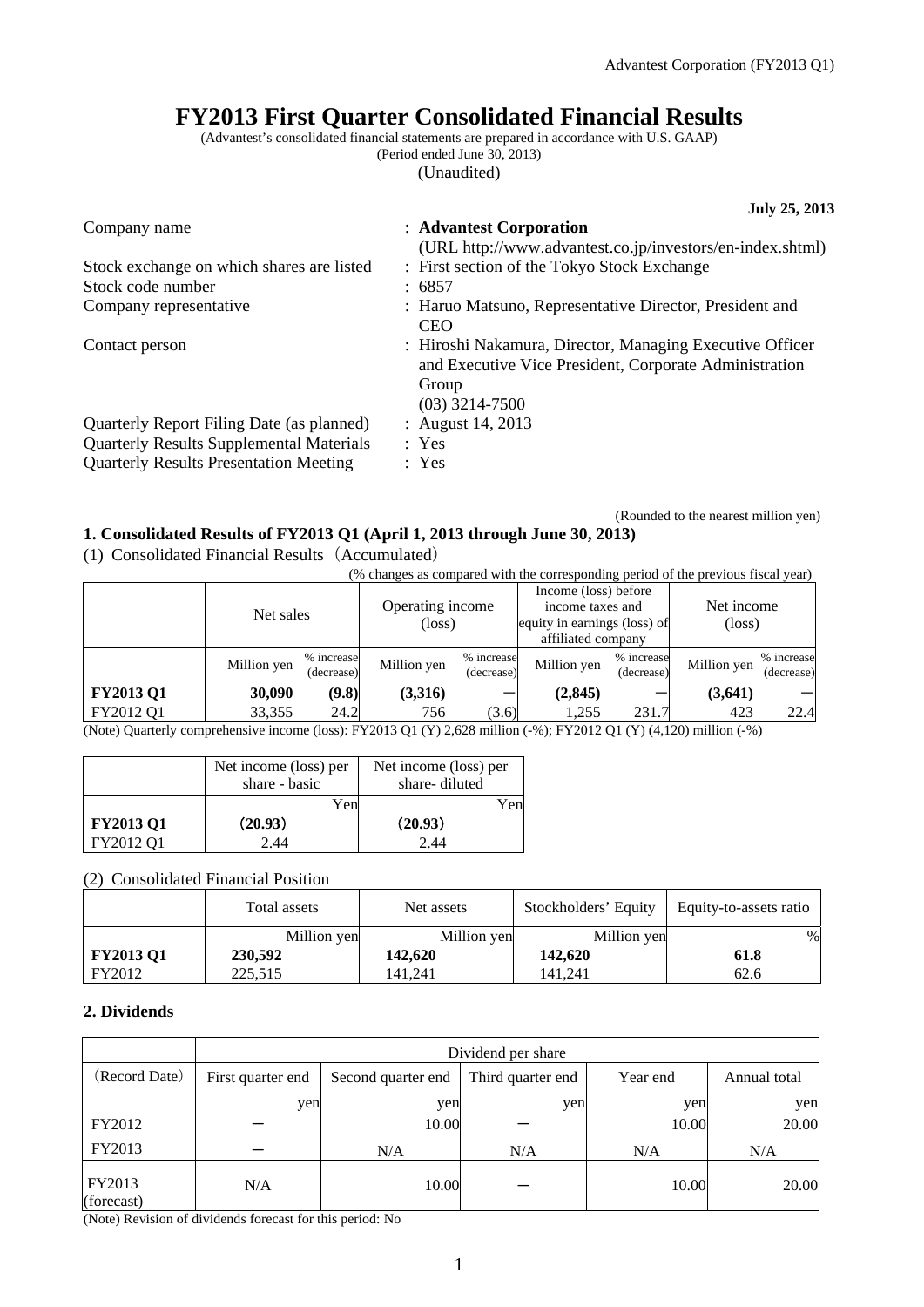# **FY2013 First Quarter Consolidated Financial Results**

(Advantest's consolidated financial statements are prepared in accordance with U.S. GAAP)

(Period ended June 30, 2013)

(Unaudited)

|                                                 | July 25, 2013                                                                                                                                   |
|-------------------------------------------------|-------------------------------------------------------------------------------------------------------------------------------------------------|
| Company name                                    | : Advantest Corporation<br>(URL http://www.advantest.co.jp/investors/en-index.shtml)                                                            |
| Stock exchange on which shares are listed       | : First section of the Tokyo Stock Exchange                                                                                                     |
| Stock code number                               | : 6857                                                                                                                                          |
| Company representative                          | : Haruo Matsuno, Representative Director, President and<br><b>CEO</b>                                                                           |
| Contact person                                  | : Hiroshi Nakamura, Director, Managing Executive Officer<br>and Executive Vice President, Corporate Administration<br>Group<br>$(03)$ 3214-7500 |
| Quarterly Report Filing Date (as planned)       | : August 14, 2013                                                                                                                               |
| <b>Quarterly Results Supplemental Materials</b> | : Yes                                                                                                                                           |
| <b>Quarterly Results Presentation Meeting</b>   | : Yes                                                                                                                                           |

#### (Rounded to the nearest million yen) **1. Consolidated Results of FY2013 Q1 (April 1, 2013 through June 30, 2013)**

(1) Consolidated Financial Results(Accumulated)

(% changes as compared with the corresponding period of the previous fiscal year)

|             |            | Operating income<br>(loss) |  | Income (loss) before<br>income taxes and<br>affiliated company |                                   |             | Net income<br>$(\text{loss})$                                                                                                                                                                    |  |
|-------------|------------|----------------------------|--|----------------------------------------------------------------|-----------------------------------|-------------|--------------------------------------------------------------------------------------------------------------------------------------------------------------------------------------------------|--|
| Million yen | (decrease) | Million yen                |  | Million yen                                                    |                                   | Million yen | % increase<br>(decrease)                                                                                                                                                                         |  |
| 30,090      | (9.8)      | (3,316)                    |  | (2, 845)                                                       |                                   | (3, 641)    |                                                                                                                                                                                                  |  |
| 33.355      | 24.2       | 756                        |  | 1.255                                                          | 231.7                             | 423         | 22.4                                                                                                                                                                                             |  |
|             |            | Net sales<br>% increase    |  |                                                                | % increase<br>(decrease)<br>(3.6) |             | equity in earnings (loss) of<br>% increase<br>(decrease)<br>(Note) Querterly comprehensive income (loss): $EVA012(01/V)$ 2.629 million ( $\alpha$ ); $EVA012(01/V)$ (4.120) million ( $\alpha$ ) |  |

(Note) Quarterly comprehensive income (loss): FY2013 Q1 (Y) 2,628 million (-%); FY2012 Q1 (Y) (4,120) million (-%)

|                  | Net income (loss) per | Net income (loss) per |
|------------------|-----------------------|-----------------------|
|                  | share - basic         | share-diluted         |
|                  | Yen                   | Yen                   |
| <b>FY2013 Q1</b> | (20.93)               | (20.93)               |
| FY2012 O1        | 2.44                  | 2.44                  |

(2) Consolidated Financial Position

|                  | Total assets | Net assets  | Stockholders' Equity | Equity-to-assets ratio |
|------------------|--------------|-------------|----------------------|------------------------|
|                  | Million yen  | Million yen | Million yen          | $\%$                   |
| <b>FY2013 Q1</b> | 230,592      | 142.620     | 142,620              | 61.8                   |
| FY2012           | 225.515      | 141.241     | 141.241              | 62.6                   |

## **2. Dividends**

|                      | Dividend per share |                                                                     |     |       |       |  |  |
|----------------------|--------------------|---------------------------------------------------------------------|-----|-------|-------|--|--|
| (Record Date)        | First quarter end  | Third quarter end<br>Year end<br>Annual total<br>Second quarter end |     |       |       |  |  |
|                      | yen                | yen                                                                 | yen | yen   | yen   |  |  |
| FY2012               |                    | 10.00                                                               |     | 10.00 | 20.00 |  |  |
| FY2013               |                    | N/A                                                                 | N/A | N/A   | N/A   |  |  |
| FY2013<br>(forecast) | N/A                | 10.00                                                               |     | 10.00 | 20.00 |  |  |

(Note) Revision of dividends forecast for this period: No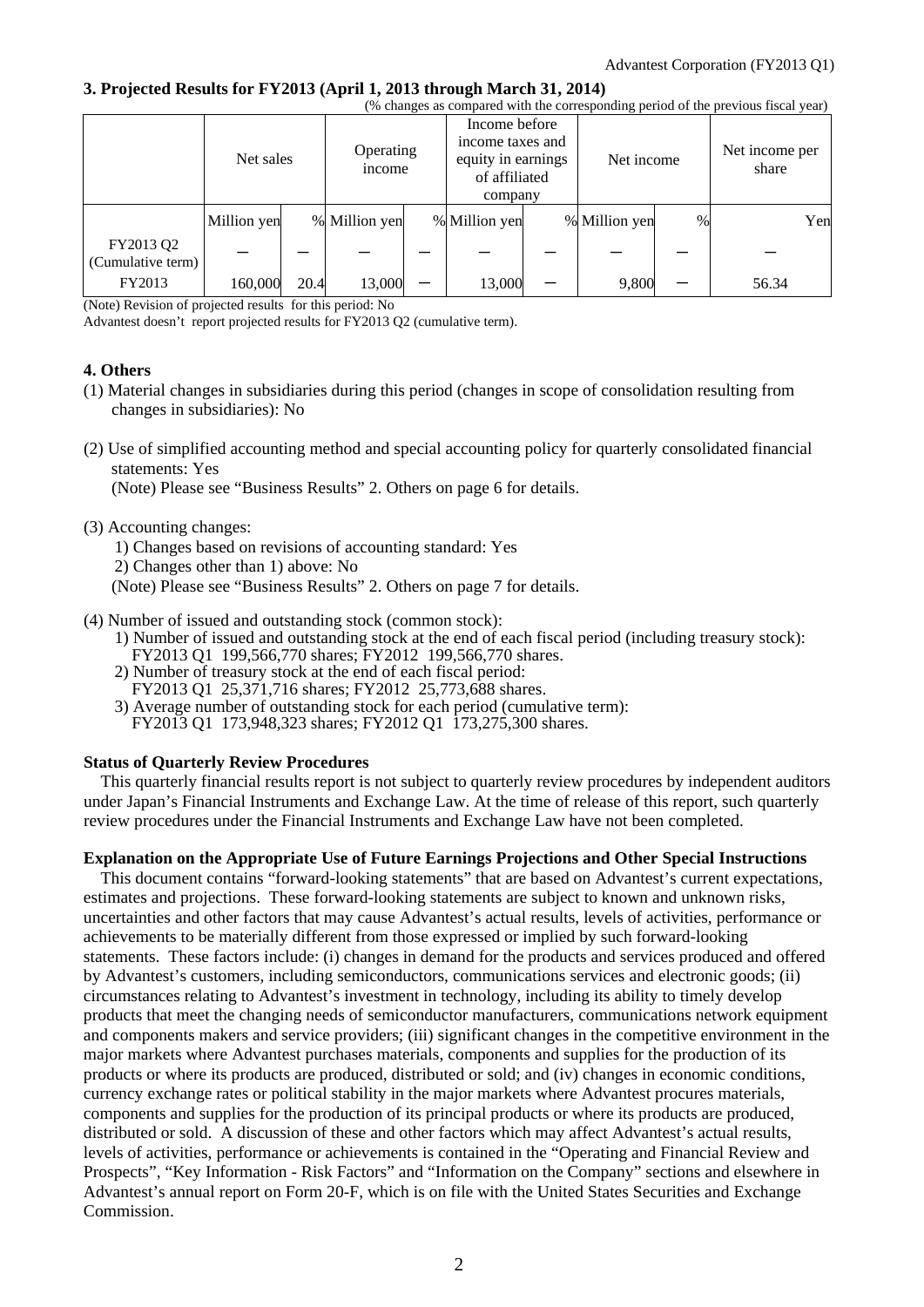#### **3. Projected Results for FY2013 (April 1, 2013 through March 31, 2014)**

| (% changes as compared with the corresponding period of the previous fiscal year) |             |      |                     |  |                                                                                     |  |               |      |                         |     |
|-----------------------------------------------------------------------------------|-------------|------|---------------------|--|-------------------------------------------------------------------------------------|--|---------------|------|-------------------------|-----|
|                                                                                   | Net sales   |      | Operating<br>income |  | Income before<br>income taxes and<br>equity in earnings<br>of affiliated<br>company |  | Net income    |      | Net income per<br>share |     |
|                                                                                   | Million yen |      | % Million yen       |  | % Million yen                                                                       |  | % Million yen | $\%$ |                         | Yen |
| FY2013 Q2<br>(Cumulative term)                                                    |             |      |                     |  |                                                                                     |  |               |      |                         |     |
| FY2013                                                                            | 160,000     | 20.4 | 13,000              |  | 13,000                                                                              |  | 9,800         |      | 56.34                   |     |

(Note) Revision of projected results for this period: No

Advantest doesn't report projected results for FY2013 Q2 (cumulative term).

#### **4. Others**

- (1) Material changes in subsidiaries during this period (changes in scope of consolidation resulting from changes in subsidiaries): No
- (2) Use of simplified accounting method and special accounting policy for quarterly consolidated financial statements: Yes

(Note) Please see "Business Results" 2. Others on page 6 for details.

- (3) Accounting changes:
	- 1) Changes based on revisions of accounting standard: Yes
	- 2) Changes other than 1) above: No
	- (Note) Please see "Business Results" 2. Others on page 7 for details.
- (4) Number of issued and outstanding stock (common stock):
	- 1) Number of issued and outstanding stock at the end of each fiscal period (including treasury stock):
	- FY2013 Q1 199,566,770 shares; FY2012 199,566,770 shares.
	- 2) Number of treasury stock at the end of each fiscal period:
	- FY2013 Q1 25,371,716 shares; FY2012 25,773,688 shares.
	- 3) Average number of outstanding stock for each period (cumulative term): FY2013 Q1 173,948,323 shares; FY2012 Q1 173,275,300 shares.

### **Status of Quarterly Review Procedures**

This quarterly financial results report is not subject to quarterly review procedures by independent auditors under Japan's Financial Instruments and Exchange Law. At the time of release of this report, such quarterly review procedures under the Financial Instruments and Exchange Law have not been completed.

#### **Explanation on the Appropriate Use of Future Earnings Projections and Other Special Instructions**

This document contains "forward-looking statements" that are based on Advantest's current expectations, estimates and projections. These forward-looking statements are subject to known and unknown risks, uncertainties and other factors that may cause Advantest's actual results, levels of activities, performance or achievements to be materially different from those expressed or implied by such forward-looking statements. These factors include: (i) changes in demand for the products and services produced and offered by Advantest's customers, including semiconductors, communications services and electronic goods; (ii) circumstances relating to Advantest's investment in technology, including its ability to timely develop products that meet the changing needs of semiconductor manufacturers, communications network equipment and components makers and service providers; (iii) significant changes in the competitive environment in the major markets where Advantest purchases materials, components and supplies for the production of its products or where its products are produced, distributed or sold; and (iv) changes in economic conditions, currency exchange rates or political stability in the major markets where Advantest procures materials, components and supplies for the production of its principal products or where its products are produced, distributed or sold. A discussion of these and other factors which may affect Advantest's actual results, levels of activities, performance or achievements is contained in the "Operating and Financial Review and Prospects", "Key Information - Risk Factors" and "Information on the Company" sections and elsewhere in Advantest's annual report on Form 20-F, which is on file with the United States Securities and Exchange Commission.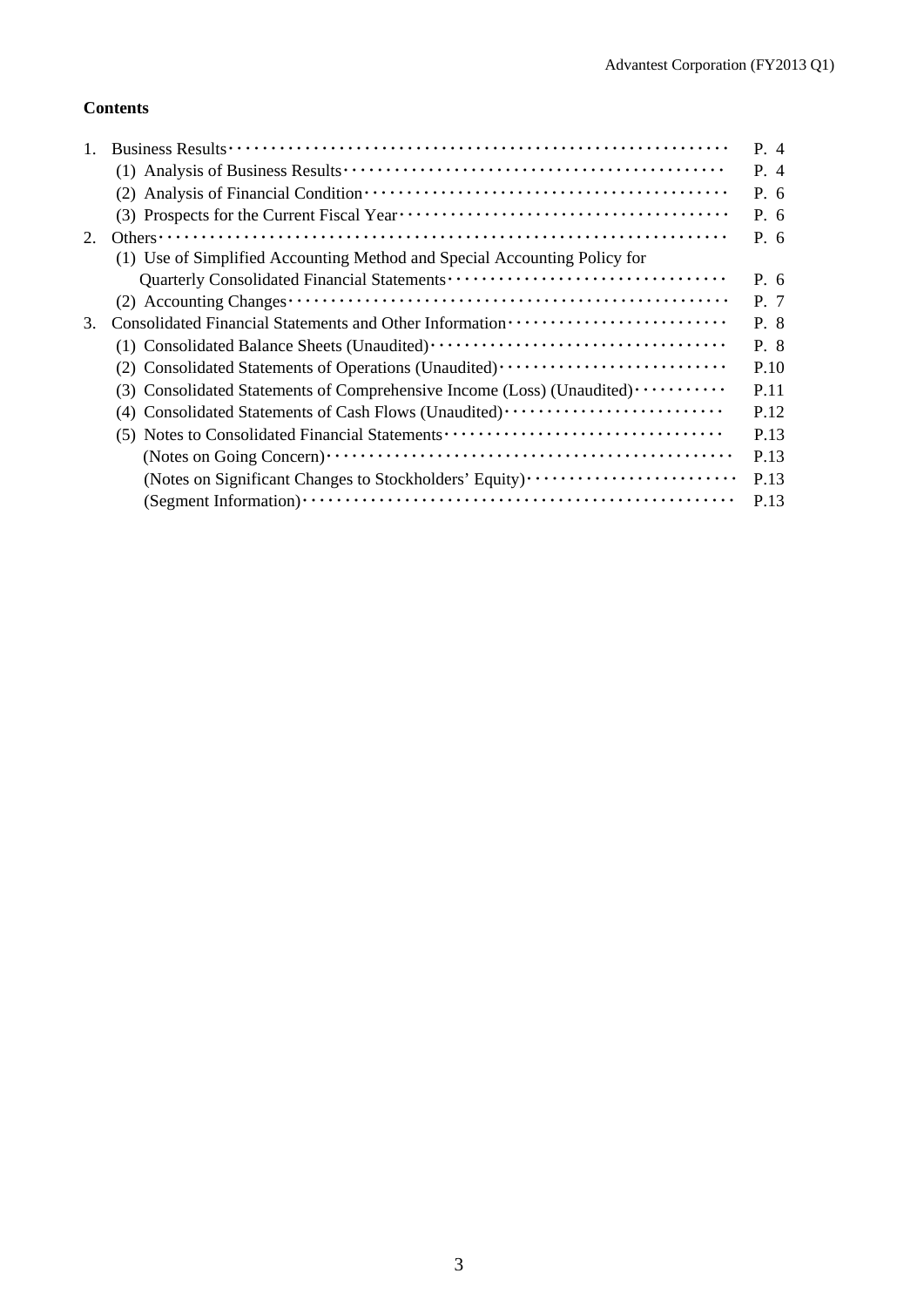## **Contents**

|                                                                                  | P. 4                                           |
|----------------------------------------------------------------------------------|------------------------------------------------|
|                                                                                  | P. 4                                           |
|                                                                                  | P. 6                                           |
|                                                                                  | P. 6                                           |
|                                                                                  | P. 6                                           |
| (1) Use of Simplified Accounting Method and Special Accounting Policy for        |                                                |
|                                                                                  | P. 6                                           |
|                                                                                  | P. 7                                           |
|                                                                                  | P. 8                                           |
|                                                                                  | P. 8                                           |
| (2) Consolidated Statements of Operations (Unaudited) ·························· | P.10                                           |
| (3) Consolidated Statements of Comprehensive Income (Loss) (Unaudited)           | P.11                                           |
| (4) Consolidated Statements of Cash Flows (Unaudited)                            | P.12                                           |
|                                                                                  | P.13                                           |
|                                                                                  | P.13                                           |
| (Notes on Significant Changes to Stockholders' Equity)                           | P.13                                           |
|                                                                                  | P.13                                           |
|                                                                                  | (5) Notes to Consolidated Financial Statements |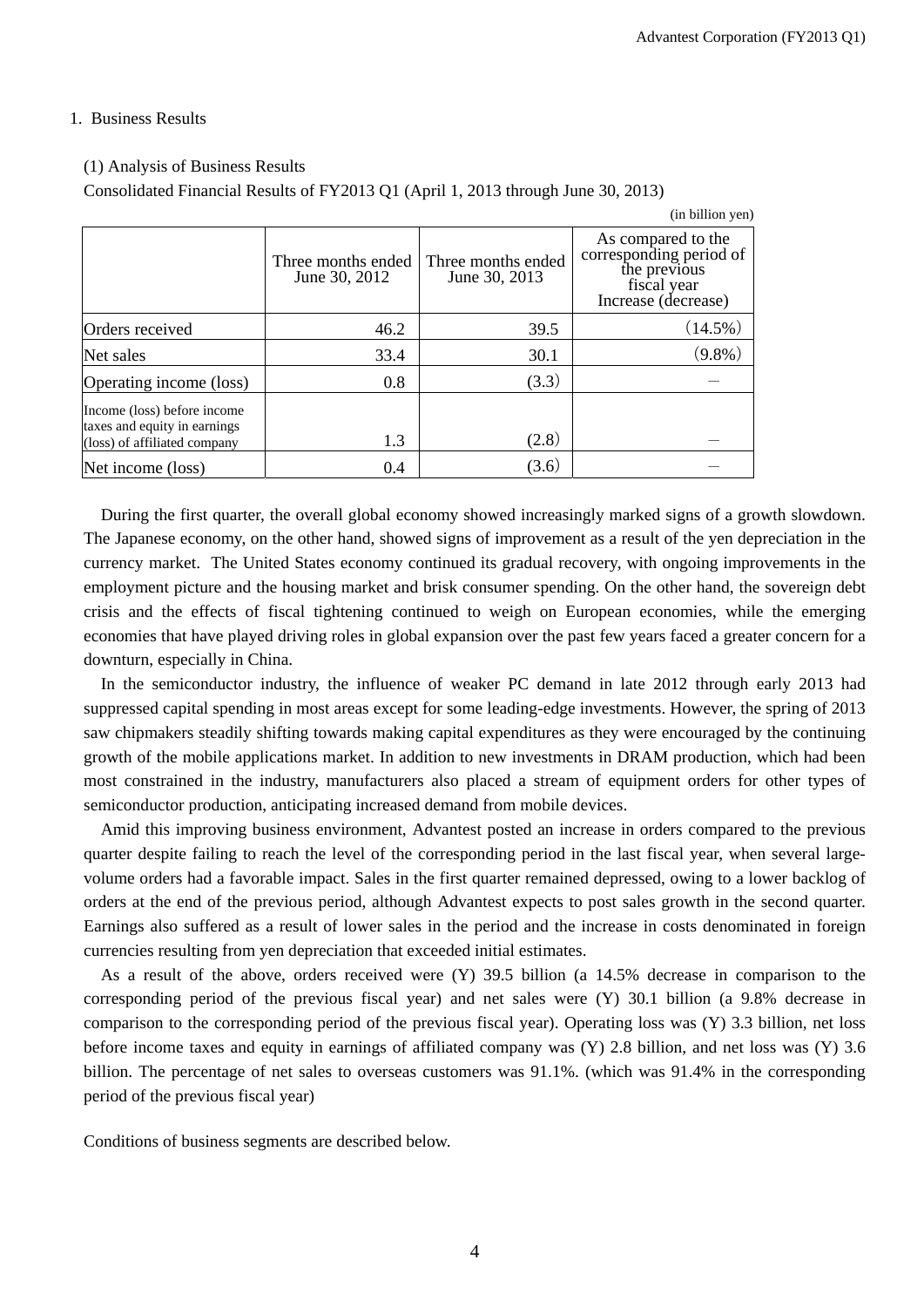(in billion yen)

#### 1. Business Results

#### (1) Analysis of Business Results

Consolidated Financial Results of FY2013 Q1 (April 1, 2013 through June 30, 2013)

|                                                                                             | Three months ended<br>June 30, 2012 | Three months ended<br>June 30, 2013 | As compared to the<br>corresponding period of<br>the previous<br>fiscal year<br>Increase (decrease) |
|---------------------------------------------------------------------------------------------|-------------------------------------|-------------------------------------|-----------------------------------------------------------------------------------------------------|
| Orders received                                                                             | 46.2                                | 39.5                                | $(14.5\%)$                                                                                          |
| Net sales                                                                                   | 33.4                                | 30.1                                | $(9.8\%)$                                                                                           |
| Operating income (loss)                                                                     | 0.8                                 | (3.3)                               |                                                                                                     |
| Income (loss) before income<br>taxes and equity in earnings<br>(loss) of affiliated company | 1.3                                 | (2.8)                               |                                                                                                     |
| Net income (loss)                                                                           | 0.4                                 | (3.6)                               |                                                                                                     |

During the first quarter, the overall global economy showed increasingly marked signs of a growth slowdown. The Japanese economy, on the other hand, showed signs of improvement as a result of the yen depreciation in the currency market. The United States economy continued its gradual recovery, with ongoing improvements in the employment picture and the housing market and brisk consumer spending. On the other hand, the sovereign debt crisis and the effects of fiscal tightening continued to weigh on European economies, while the emerging economies that have played driving roles in global expansion over the past few years faced a greater concern for a downturn, especially in China.

In the semiconductor industry, the influence of weaker PC demand in late 2012 through early 2013 had suppressed capital spending in most areas except for some leading-edge investments. However, the spring of 2013 saw chipmakers steadily shifting towards making capital expenditures as they were encouraged by the continuing growth of the mobile applications market. In addition to new investments in DRAM production, which had been most constrained in the industry, manufacturers also placed a stream of equipment orders for other types of semiconductor production, anticipating increased demand from mobile devices.

Amid this improving business environment, Advantest posted an increase in orders compared to the previous quarter despite failing to reach the level of the corresponding period in the last fiscal year, when several largevolume orders had a favorable impact. Sales in the first quarter remained depressed, owing to a lower backlog of orders at the end of the previous period, although Advantest expects to post sales growth in the second quarter. Earnings also suffered as a result of lower sales in the period and the increase in costs denominated in foreign currencies resulting from yen depreciation that exceeded initial estimates.

As a result of the above, orders received were (Y) 39.5 billion (a 14.5% decrease in comparison to the corresponding period of the previous fiscal year) and net sales were (Y) 30.1 billion (a 9.8% decrease in comparison to the corresponding period of the previous fiscal year). Operating loss was (Y) 3.3 billion, net loss before income taxes and equity in earnings of affiliated company was (Y) 2.8 billion, and net loss was (Y) 3.6 billion. The percentage of net sales to overseas customers was 91.1%. (which was 91.4% in the corresponding period of the previous fiscal year)

Conditions of business segments are described below.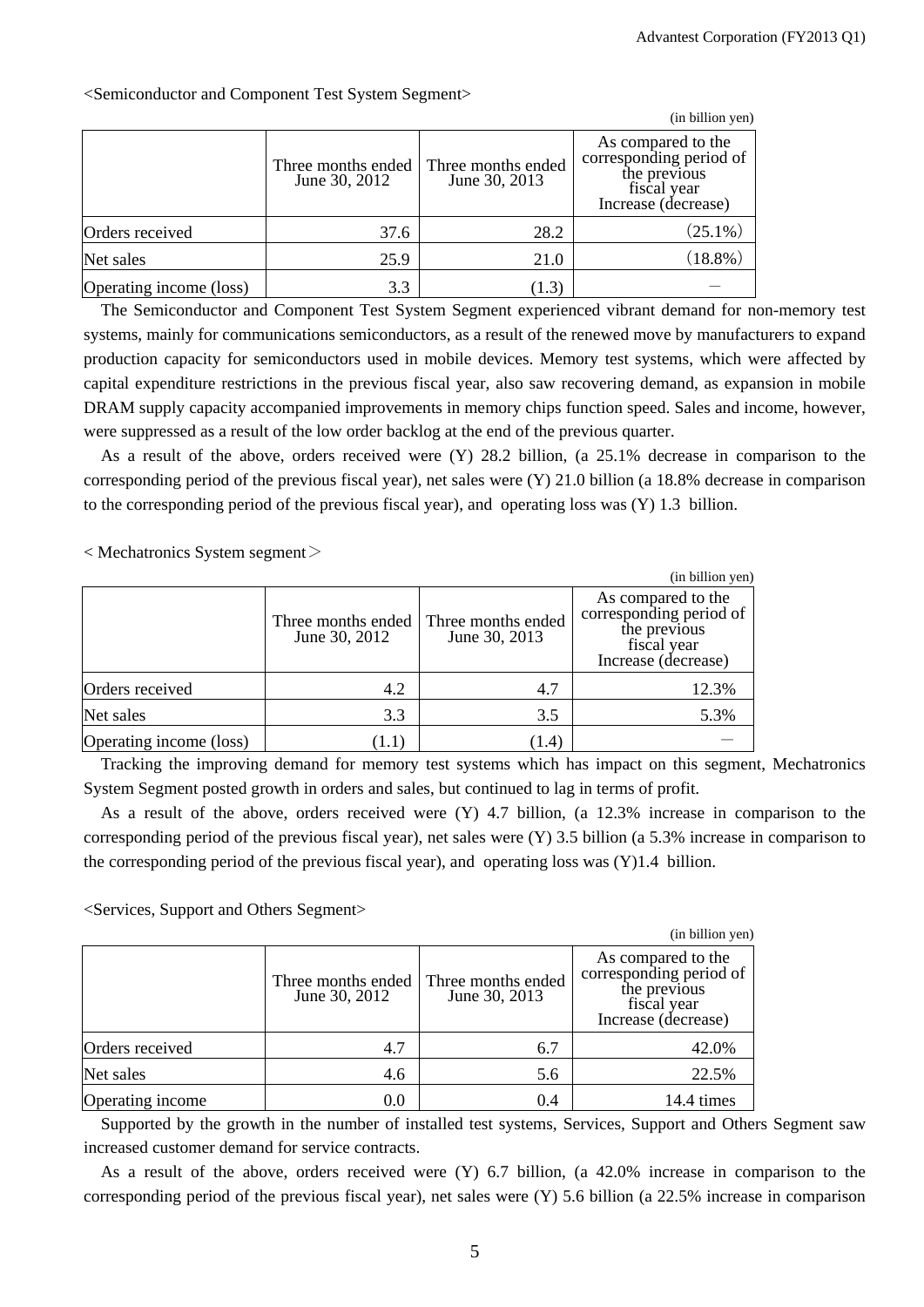|                         |                                     |                                     | (in billion yen)                                                                                    |
|-------------------------|-------------------------------------|-------------------------------------|-----------------------------------------------------------------------------------------------------|
|                         | Three months ended<br>June 30, 2012 | Three months ended<br>June 30, 2013 | As compared to the<br>corresponding period of<br>the previous<br>fiscal year<br>Increase (decrease) |
| Orders received         | 37.6                                | 28.2                                | $(25.1\%)$                                                                                          |
| Net sales               | 25.9                                | 21.0                                | $(18.8\%)$                                                                                          |
| Operating income (loss) | 3.3                                 | (1.3)                               |                                                                                                     |

<Semiconductor and Component Test System Segment>

The Semiconductor and Component Test System Segment experienced vibrant demand for non-memory test systems, mainly for communications semiconductors, as a result of the renewed move by manufacturers to expand production capacity for semiconductors used in mobile devices. Memory test systems, which were affected by capital expenditure restrictions in the previous fiscal year, also saw recovering demand, as expansion in mobile DRAM supply capacity accompanied improvements in memory chips function speed. Sales and income, however, were suppressed as a result of the low order backlog at the end of the previous quarter.

As a result of the above, orders received were (Y) 28.2 billion, (a 25.1% decrease in comparison to the corresponding period of the previous fiscal year), net sales were (Y) 21.0 billion (a 18.8% decrease in comparison to the corresponding period of the previous fiscal year), and operating loss was (Y) 1.3 billion.

 $\langle$  Mechatronics System segment $\langle$ 

|                         |                                     |                                     | (in billion yen)                                                                                    |
|-------------------------|-------------------------------------|-------------------------------------|-----------------------------------------------------------------------------------------------------|
|                         | Three months ended<br>June 30, 2012 | Three months ended<br>June 30, 2013 | As compared to the<br>corresponding period of<br>the previous<br>fiscal year<br>Increase (decrease) |
| Orders received         | 4.2                                 | 4.7                                 | 12.3%                                                                                               |
| Net sales               | 3.3                                 | 3.5                                 | 5.3%                                                                                                |
| Operating income (loss) | (1.1)                               | (1.4)                               |                                                                                                     |

Tracking the improving demand for memory test systems which has impact on this segment, Mechatronics System Segment posted growth in orders and sales, but continued to lag in terms of profit.

As a result of the above, orders received were (Y) 4.7 billion, (a 12.3% increase in comparison to the corresponding period of the previous fiscal year), net sales were (Y) 3.5 billion (a 5.3% increase in comparison to the corresponding period of the previous fiscal year), and operating loss was  $(Y)$ 1.4 billion.

<Services, Support and Others Segment>

|                  |                                     |                                     | (in billion yen)                                                                                    |
|------------------|-------------------------------------|-------------------------------------|-----------------------------------------------------------------------------------------------------|
|                  | Three months ended<br>June 30, 2012 | Three months ended<br>June 30, 2013 | As compared to the<br>corresponding period of<br>the previous<br>fiscal year<br>Increase (decrease) |
| Orders received  | 4.7                                 | 6.7                                 | 42.0%                                                                                               |
| Net sales        | 4.6                                 | 5.6                                 | 22.5%                                                                                               |
| Operating income | 0.0                                 | 0.4                                 | 14.4 times                                                                                          |

Supported by the growth in the number of installed test systems, Services, Support and Others Segment saw increased customer demand for service contracts.

As a result of the above, orders received were (Y) 6.7 billion, (a 42.0% increase in comparison to the corresponding period of the previous fiscal year), net sales were (Y) 5.6 billion (a 22.5% increase in comparison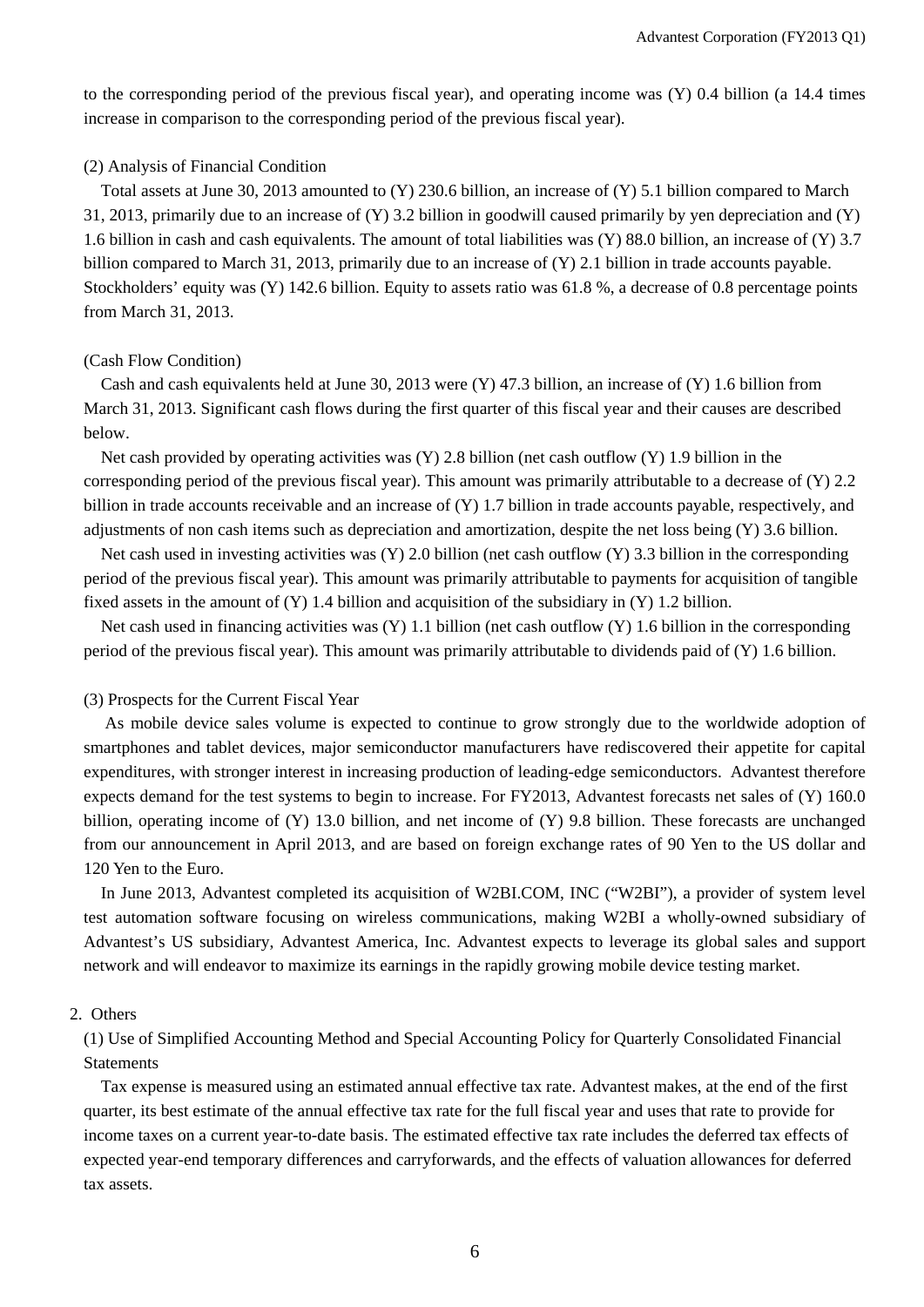to the corresponding period of the previous fiscal year), and operating income was (Y) 0.4 billion (a 14.4 times increase in comparison to the corresponding period of the previous fiscal year).

#### (2) Analysis of Financial Condition

Total assets at June 30, 2013 amounted to (Y) 230.6 billion, an increase of (Y) 5.1 billion compared to March 31, 2013, primarily due to an increase of (Y) 3.2 billion in goodwill caused primarily by yen depreciation and (Y) 1.6 billion in cash and cash equivalents. The amount of total liabilities was (Y) 88.0 billion, an increase of (Y) 3.7 billion compared to March 31, 2013, primarily due to an increase of (Y) 2.1 billion in trade accounts payable. Stockholders' equity was (Y) 142.6 billion. Equity to assets ratio was 61.8 %, a decrease of 0.8 percentage points from March 31, 2013.

#### (Cash Flow Condition)

Cash and cash equivalents held at June 30, 2013 were (Y) 47.3 billion, an increase of (Y) 1.6 billion from March 31, 2013. Significant cash flows during the first quarter of this fiscal year and their causes are described below.

Net cash provided by operating activities was  $(Y)$  2.8 billion (net cash outflow  $(Y)$  1.9 billion in the corresponding period of the previous fiscal year). This amount was primarily attributable to a decrease of (Y) 2.2 billion in trade accounts receivable and an increase of (Y) 1.7 billion in trade accounts payable, respectively, and adjustments of non cash items such as depreciation and amortization, despite the net loss being (Y) 3.6 billion.

Net cash used in investing activities was (Y) 2.0 billion (net cash outflow (Y) 3.3 billion in the corresponding period of the previous fiscal year). This amount was primarily attributable to payments for acquisition of tangible fixed assets in the amount of (Y) 1.4 billion and acquisition of the subsidiary in (Y) 1.2 billion.

Net cash used in financing activities was  $(Y)$  1.1 billion (net cash outflow  $(Y)$ ) 1.6 billion in the corresponding period of the previous fiscal year). This amount was primarily attributable to dividends paid of (Y) 1.6 billion.

### (3) Prospects for the Current Fiscal Year

 As mobile device sales volume is expected to continue to grow strongly due to the worldwide adoption of smartphones and tablet devices, major semiconductor manufacturers have rediscovered their appetite for capital expenditures, with stronger interest in increasing production of leading-edge semiconductors. Advantest therefore expects demand for the test systems to begin to increase. For FY2013, Advantest forecasts net sales of (Y) 160.0 billion, operating income of (Y) 13.0 billion, and net income of (Y) 9.8 billion. These forecasts are unchanged from our announcement in April 2013, and are based on foreign exchange rates of 90 Yen to the US dollar and 120 Yen to the Euro.

In June 2013, Advantest completed its acquisition of W2BI.COM, INC ("W2BI"), a provider of system level test automation software focusing on wireless communications, making W2BI a wholly-owned subsidiary of Advantest's US subsidiary, Advantest America, Inc. Advantest expects to leverage its global sales and support network and will endeavor to maximize its earnings in the rapidly growing mobile device testing market.

#### 2. Others

(1) Use of Simplified Accounting Method and Special Accounting Policy for Quarterly Consolidated Financial Statements

Tax expense is measured using an estimated annual effective tax rate. Advantest makes, at the end of the first quarter, its best estimate of the annual effective tax rate for the full fiscal year and uses that rate to provide for income taxes on a current year-to-date basis. The estimated effective tax rate includes the deferred tax effects of expected year-end temporary differences and carryforwards, and the effects of valuation allowances for deferred tax assets.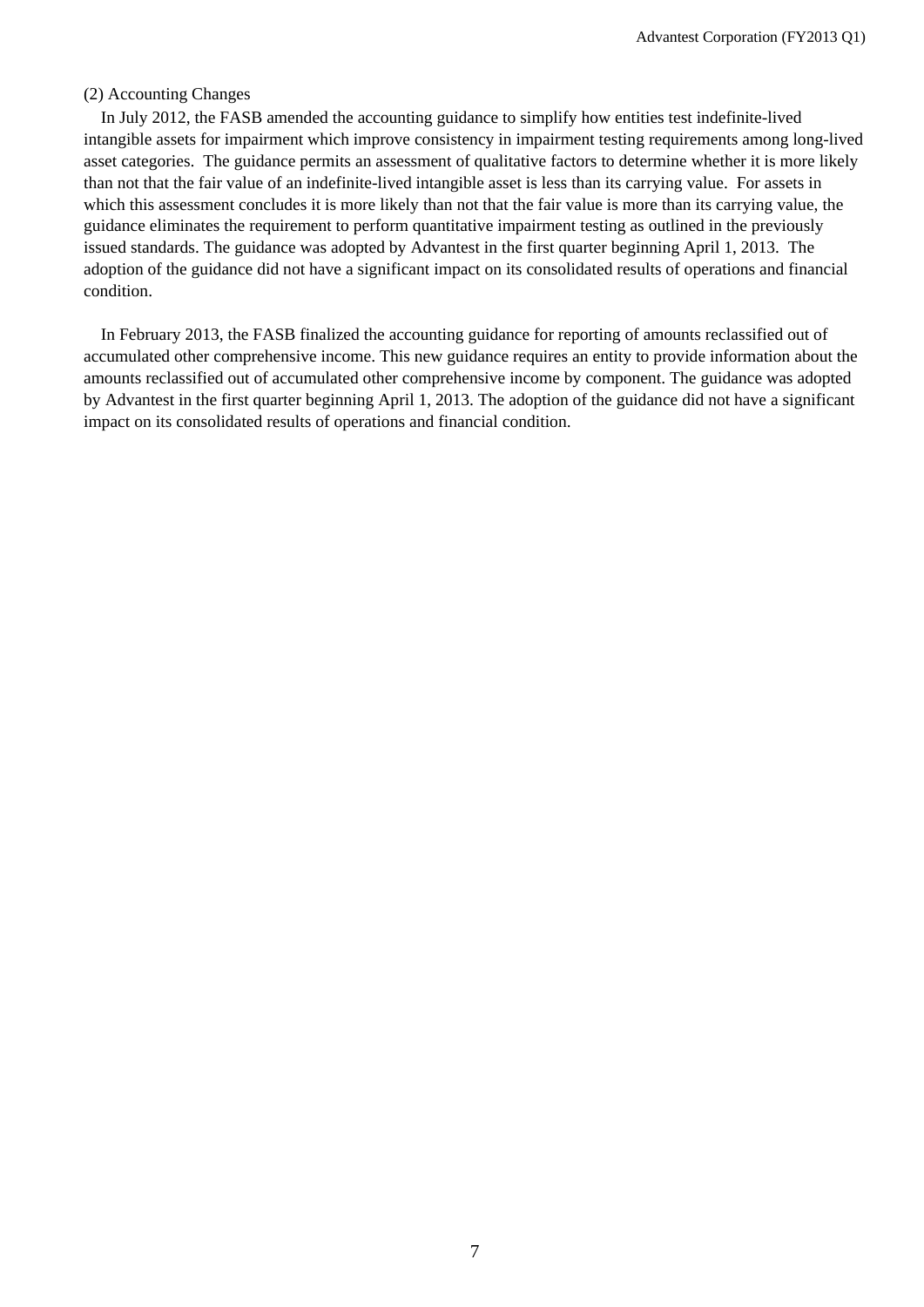#### (2) Accounting Changes

In July 2012, the FASB amended the accounting guidance to simplify how entities test indefinite-lived intangible assets for impairment which improve consistency in impairment testing requirements among long-lived asset categories. The guidance permits an assessment of qualitative factors to determine whether it is more likely than not that the fair value of an indefinite-lived intangible asset is less than its carrying value. For assets in which this assessment concludes it is more likely than not that the fair value is more than its carrying value, the guidance eliminates the requirement to perform quantitative impairment testing as outlined in the previously issued standards. The guidance was adopted by Advantest in the first quarter beginning April 1, 2013. The adoption of the guidance did not have a significant impact on its consolidated results of operations and financial condition.

In February 2013, the FASB finalized the accounting guidance for reporting of amounts reclassified out of accumulated other comprehensive income. This new guidance requires an entity to provide information about the amounts reclassified out of accumulated other comprehensive income by component. The guidance was adopted by Advantest in the first quarter beginning April 1, 2013. The adoption of the guidance did not have a significant impact on its consolidated results of operations and financial condition.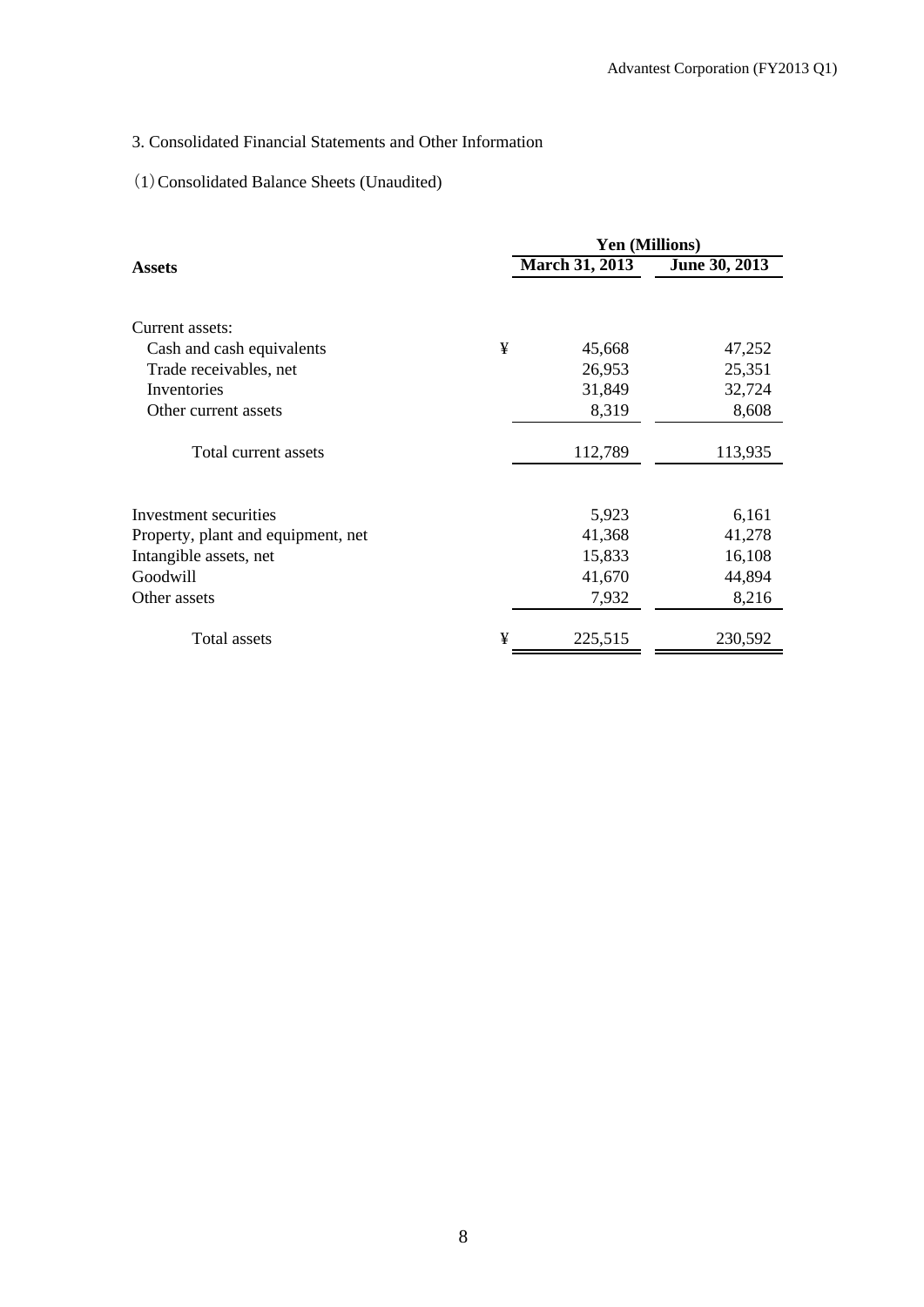## 3. Consolidated Financial Statements and Other Information

## (1)Consolidated Balance Sheets (Unaudited)

|                                    | <b>Yen (Millions)</b> |                       |               |  |  |
|------------------------------------|-----------------------|-----------------------|---------------|--|--|
| <b>Assets</b>                      |                       | <b>March 31, 2013</b> | June 30, 2013 |  |  |
|                                    |                       |                       |               |  |  |
| Current assets:                    |                       |                       |               |  |  |
| Cash and cash equivalents          | ¥                     | 45,668                | 47,252        |  |  |
| Trade receivables, net             |                       | 26,953                | 25,351        |  |  |
| Inventories                        |                       | 31,849                | 32,724        |  |  |
| Other current assets               |                       | 8,319                 | 8,608         |  |  |
| Total current assets               |                       | 112,789               | 113,935       |  |  |
|                                    |                       |                       |               |  |  |
| Investment securities              |                       | 5,923                 | 6,161         |  |  |
| Property, plant and equipment, net |                       | 41,368                | 41,278        |  |  |
| Intangible assets, net             |                       | 15,833                | 16,108        |  |  |
| Goodwill                           |                       | 41,670                | 44,894        |  |  |
| Other assets                       |                       | 7,932                 | 8,216         |  |  |
| Total assets                       | ¥                     | 225,515               | 230,592       |  |  |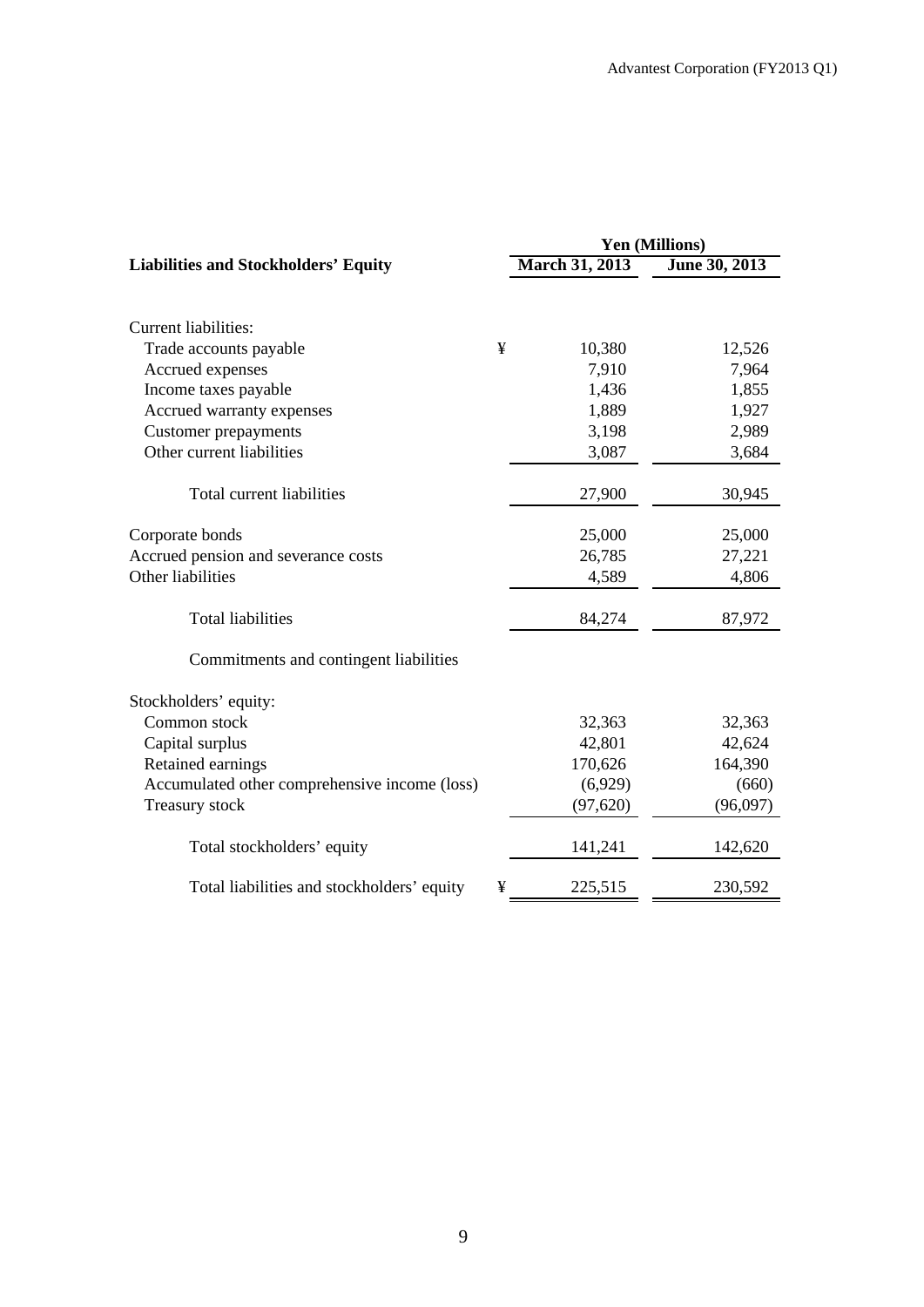| <b>Yen (Millions)</b> |                |               |  |
|-----------------------|----------------|---------------|--|
|                       | March 31, 2013 | June 30, 2013 |  |
|                       |                |               |  |
|                       |                |               |  |
| ¥                     | 10,380         | 12,526        |  |
|                       | 7,910          | 7,964         |  |
|                       | 1,436          | 1,855         |  |
|                       | 1,889          | 1,927         |  |
|                       | 3,198          | 2,989         |  |
|                       | 3,087          | 3,684         |  |
|                       | 27,900         | 30,945        |  |
|                       | 25,000         | 25,000        |  |
|                       | 26,785         | 27,221        |  |
|                       | 4,589          | 4,806         |  |
|                       | 84,274         | 87,972        |  |
|                       |                |               |  |
|                       |                |               |  |
|                       | 32,363         | 32,363        |  |
|                       | 42,801         | 42,624        |  |
|                       | 170,626        | 164,390       |  |
|                       | (6,929)        | (660)         |  |
|                       | (97, 620)      | (96,097)      |  |
|                       | 141,241        | 142,620       |  |
| ¥                     | 225,515        | 230,592       |  |
|                       |                |               |  |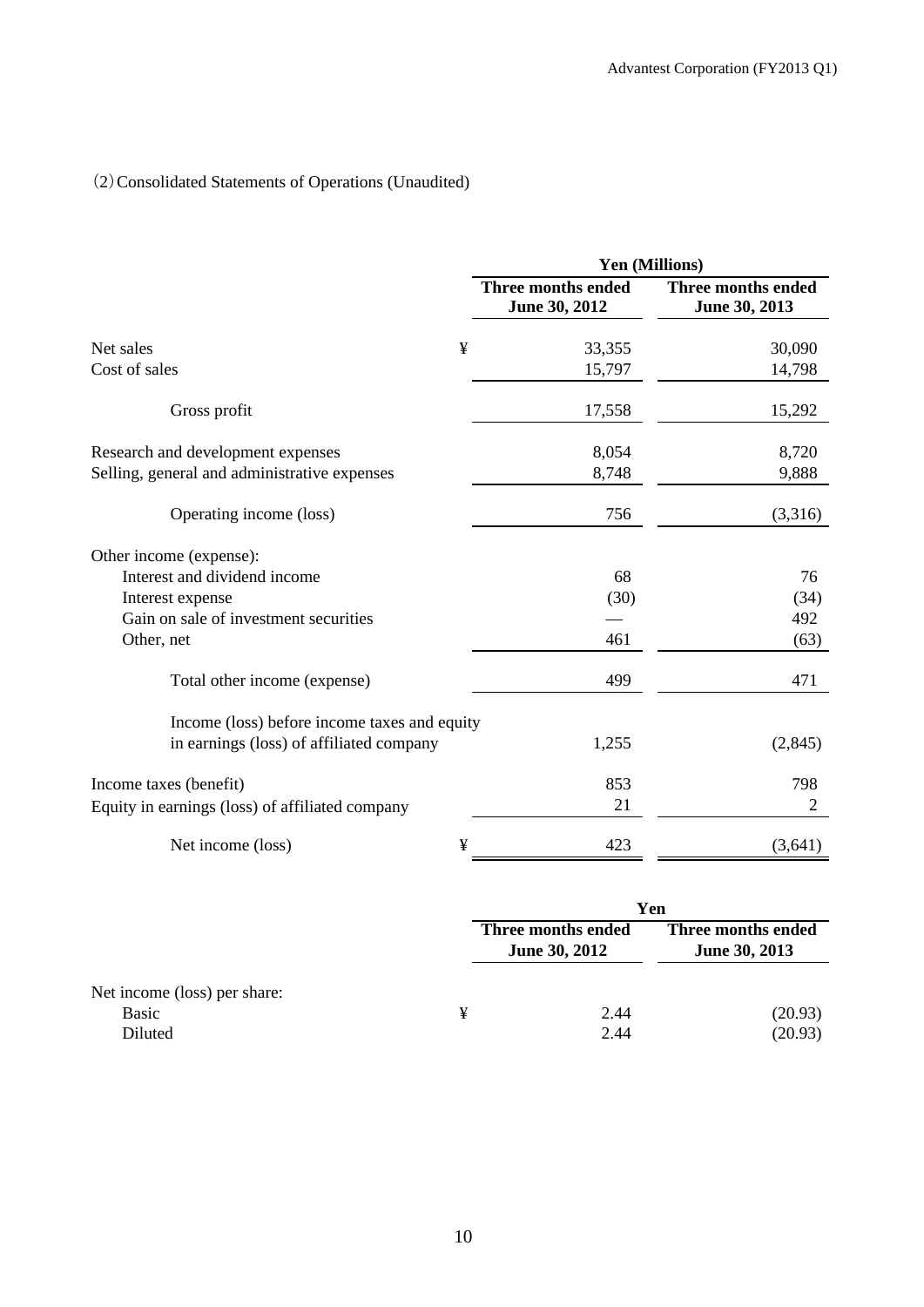# (2)Consolidated Statements of Operations (Unaudited)

|                                                 | Yen (Millions)                      |                                     |  |  |
|-------------------------------------------------|-------------------------------------|-------------------------------------|--|--|
|                                                 | Three months ended<br>June 30, 2012 | Three months ended<br>June 30, 2013 |  |  |
| ¥<br>Net sales                                  | 33,355                              | 30,090                              |  |  |
| Cost of sales                                   | 15,797                              | 14,798                              |  |  |
| Gross profit                                    | 17,558                              | 15,292                              |  |  |
| Research and development expenses               | 8,054                               | 8,720                               |  |  |
| Selling, general and administrative expenses    | 8,748                               | 9,888                               |  |  |
| Operating income (loss)                         | 756                                 | (3,316)                             |  |  |
| Other income (expense):                         |                                     |                                     |  |  |
| Interest and dividend income                    | 68                                  | 76                                  |  |  |
| Interest expense                                | (30)                                | (34)                                |  |  |
| Gain on sale of investment securities           |                                     | 492                                 |  |  |
| Other, net                                      | 461                                 | (63)                                |  |  |
| Total other income (expense)                    | 499                                 | 471                                 |  |  |
| Income (loss) before income taxes and equity    |                                     |                                     |  |  |
| in earnings (loss) of affiliated company        | 1,255                               | (2,845)                             |  |  |
| Income taxes (benefit)                          | 853                                 | 798                                 |  |  |
| Equity in earnings (loss) of affiliated company | 21                                  | $\overline{2}$                      |  |  |
| ¥<br>Net income (loss)                          | 423                                 | (3,641)                             |  |  |

|                                                         |   | Yen                                        |                                     |  |
|---------------------------------------------------------|---|--------------------------------------------|-------------------------------------|--|
|                                                         |   | Three months ended<br><b>June 30, 2012</b> | Three months ended<br>June 30, 2013 |  |
| Net income (loss) per share:<br><b>Basic</b><br>Diluted | ¥ | 2.44<br>2.44                               | (20.93)<br>(20.93)                  |  |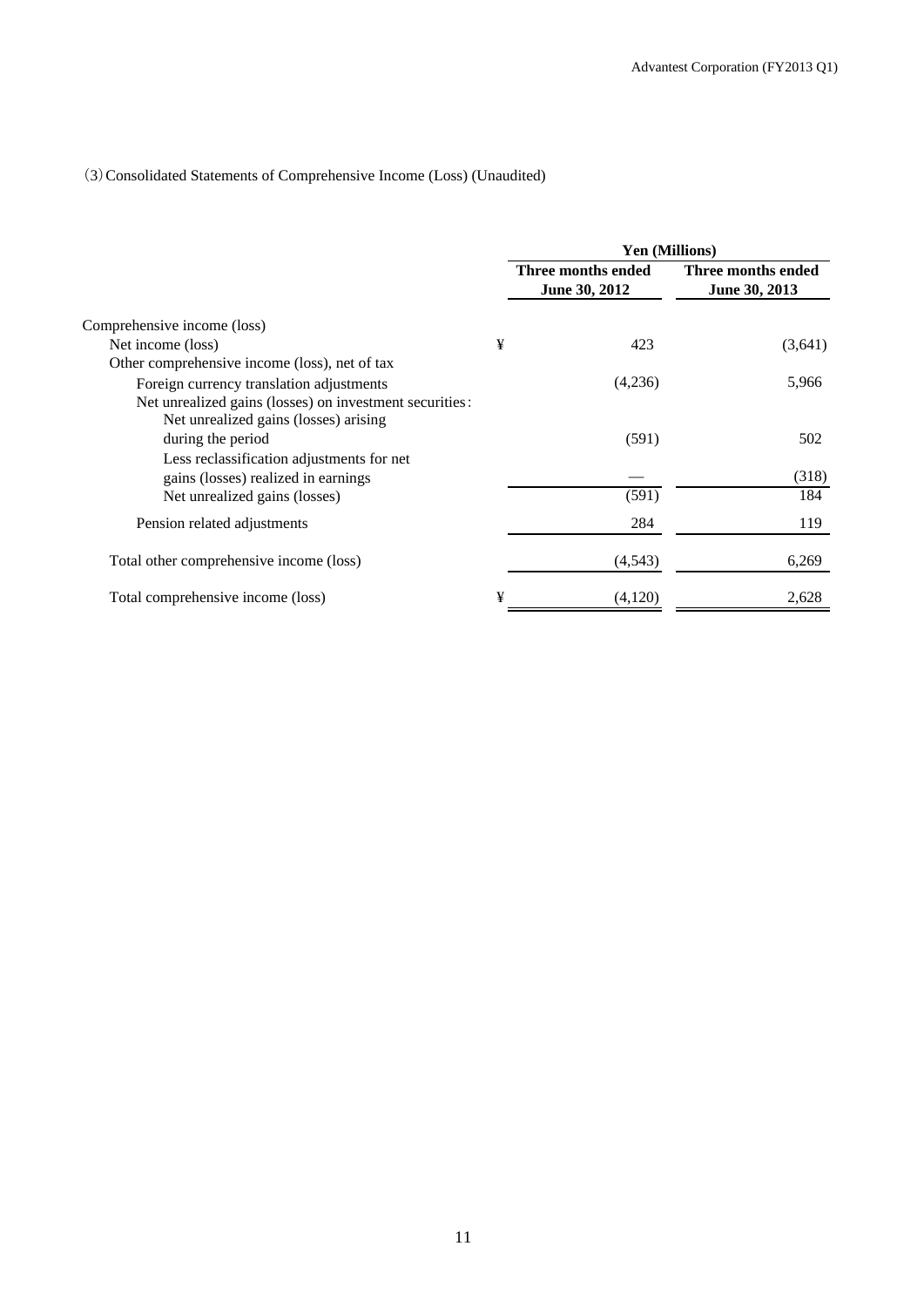## (3)Consolidated Statements of Comprehensive Income (Loss) (Unaudited)

|                                                                                                  |   | <b>Yen (Millions)</b>               |                                     |  |
|--------------------------------------------------------------------------------------------------|---|-------------------------------------|-------------------------------------|--|
|                                                                                                  |   | Three months ended<br>June 30, 2012 | Three months ended<br>June 30, 2013 |  |
| Comprehensive income (loss)                                                                      |   |                                     |                                     |  |
| Net income (loss)                                                                                | ¥ | 423                                 | (3,641)                             |  |
| Other comprehensive income (loss), net of tax                                                    |   |                                     |                                     |  |
| Foreign currency translation adjustments                                                         |   | (4,236)                             | 5,966                               |  |
| Net unrealized gains (losses) on investment securities:<br>Net unrealized gains (losses) arising |   |                                     |                                     |  |
| during the period                                                                                |   | (591)                               | 502                                 |  |
| Less reclassification adjustments for net<br>gains (losses) realized in earnings                 |   |                                     | (318)                               |  |
| Net unrealized gains (losses)                                                                    |   | (591)                               | 184                                 |  |
| Pension related adjustments                                                                      |   | 284                                 | 119                                 |  |
| Total other comprehensive income (loss)                                                          |   | (4, 543)                            | 6,269                               |  |
| Total comprehensive income (loss)                                                                | ¥ | (4,120)                             | 2,628                               |  |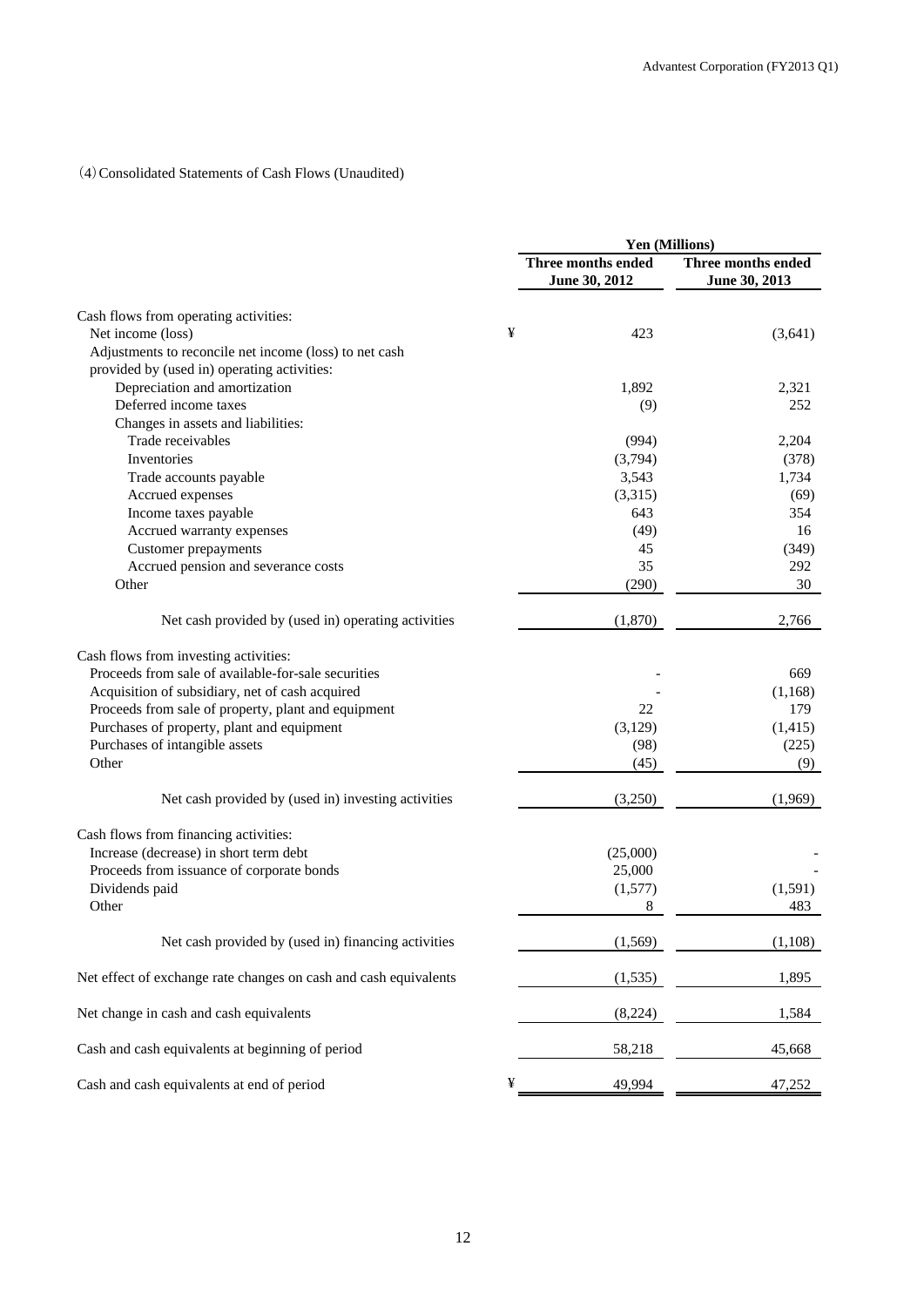### (4)Consolidated Statements of Cash Flows (Unaudited)

|                                                                  | Yen (Millions)                      |                                     |  |
|------------------------------------------------------------------|-------------------------------------|-------------------------------------|--|
|                                                                  | Three months ended<br>June 30, 2012 | Three months ended<br>June 30, 2013 |  |
| Cash flows from operating activities:                            |                                     |                                     |  |
| Net income (loss)                                                | ¥<br>423                            | (3,641)                             |  |
| Adjustments to reconcile net income (loss) to net cash           |                                     |                                     |  |
| provided by (used in) operating activities:                      |                                     |                                     |  |
| Depreciation and amortization                                    | 1,892                               | 2,321                               |  |
| Deferred income taxes                                            | (9)                                 | 252                                 |  |
| Changes in assets and liabilities:                               |                                     |                                     |  |
| Trade receivables                                                | (994)                               | 2,204                               |  |
| Inventories                                                      | (3,794)                             | (378)                               |  |
| Trade accounts payable                                           | 3,543                               | 1,734                               |  |
| Accrued expenses                                                 | (3,315)                             | (69)                                |  |
| Income taxes payable                                             | 643                                 | 354                                 |  |
| Accrued warranty expenses                                        | (49)                                | 16                                  |  |
| Customer prepayments                                             | 45                                  | (349)                               |  |
| Accrued pension and severance costs                              | 35                                  | 292                                 |  |
| Other                                                            | (290)                               | 30                                  |  |
|                                                                  |                                     |                                     |  |
| Net cash provided by (used in) operating activities              | (1,870)                             | 2,766                               |  |
|                                                                  |                                     |                                     |  |
| Cash flows from investing activities:                            |                                     |                                     |  |
| Proceeds from sale of available-for-sale securities              |                                     | 669                                 |  |
| Acquisition of subsidiary, net of cash acquired                  |                                     | (1,168)                             |  |
| Proceeds from sale of property, plant and equipment              | 22                                  | 179                                 |  |
| Purchases of property, plant and equipment                       | (3,129)                             | (1, 415)                            |  |
| Purchases of intangible assets                                   | (98)                                | (225)                               |  |
| Other                                                            | (45)                                | (9)                                 |  |
| Net cash provided by (used in) investing activities              | (3,250)                             | (1,969)                             |  |
| Cash flows from financing activities:                            |                                     |                                     |  |
| Increase (decrease) in short term debt                           | (25,000)                            |                                     |  |
| Proceeds from issuance of corporate bonds                        | 25,000                              |                                     |  |
| Dividends paid                                                   | (1,577)                             | (1,591)                             |  |
| Other                                                            | 8                                   | 483                                 |  |
| Net cash provided by (used in) financing activities              | (1,569)                             | (1,108)                             |  |
| Net effect of exchange rate changes on cash and cash equivalents | (1,535)                             | 1,895                               |  |
| Net change in cash and cash equivalents                          | (8,224)                             | 1,584                               |  |
| Cash and cash equivalents at beginning of period                 | 58,218                              | 45,668                              |  |
| Cash and cash equivalents at end of period                       | ¥<br>49,994                         | 47,252                              |  |